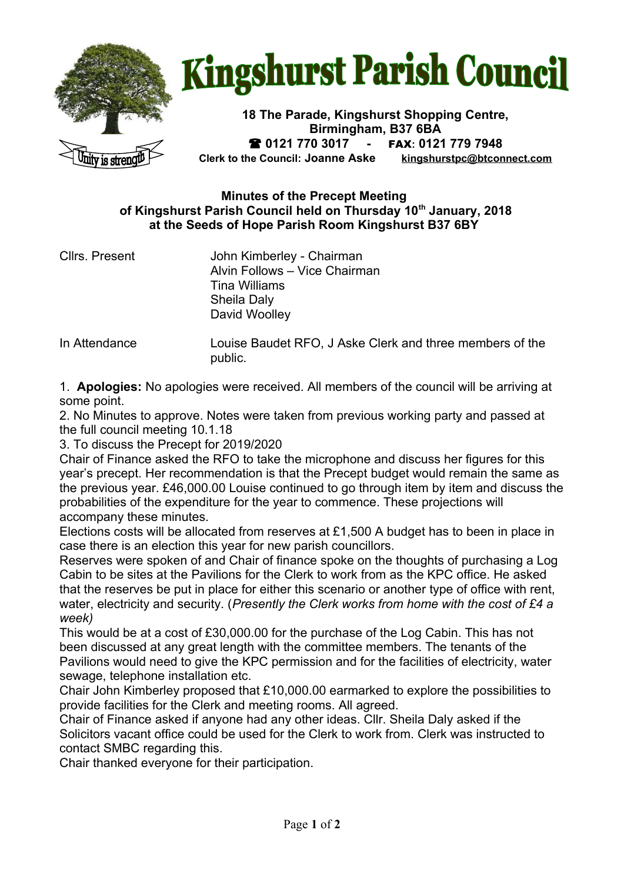

## **Kingshurst Parish Council**

**18 The Parade, Kingshurst Shopping Centre, Birmingham, B37 6BA 0121 770 3017 -** FAX**: 0121 779 7948 Clerk to the Council: Joanne Aske [kingshurstpc@btconnect.com](mailto:kingshurstpc@btconnect.com)**

## **Minutes of the Precept Meeting of Kingshurst Parish Council held on Thursday 10th January, 2018 at the Seeds of Hope Parish Room Kingshurst B37 6BY**

Cllrs. Present John Kimberley - Chairman Alvin Follows – Vice Chairman Tina Williams Sheila Daly David Woolley

In Attendance Louise Baudet RFO, J Aske Clerk and three members of the public.

1. **Apologies:** No apologies were received. All members of the council will be arriving at some point.

2. No Minutes to approve. Notes were taken from previous working party and passed at the full council meeting 10.1.18

3. To discuss the Precept for 2019/2020

Chair of Finance asked the RFO to take the microphone and discuss her figures for this year's precept. Her recommendation is that the Precept budget would remain the same as the previous year. £46,000.00 Louise continued to go through item by item and discuss the probabilities of the expenditure for the year to commence. These projections will accompany these minutes.

Elections costs will be allocated from reserves at £1,500 A budget has to been in place in case there is an election this year for new parish councillors.

Reserves were spoken of and Chair of finance spoke on the thoughts of purchasing a Log Cabin to be sites at the Pavilions for the Clerk to work from as the KPC office. He asked that the reserves be put in place for either this scenario or another type of office with rent, water, electricity and security. (*Presently the Clerk works from home with the cost of £4 a week)*

This would be at a cost of £30,000.00 for the purchase of the Log Cabin. This has not been discussed at any great length with the committee members. The tenants of the Pavilions would need to give the KPC permission and for the facilities of electricity, water sewage, telephone installation etc.

Chair John Kimberley proposed that £10,000.00 earmarked to explore the possibilities to provide facilities for the Clerk and meeting rooms. All agreed.

Chair of Finance asked if anyone had any other ideas. Cllr. Sheila Daly asked if the Solicitors vacant office could be used for the Clerk to work from. Clerk was instructed to contact SMBC regarding this.

Chair thanked everyone for their participation.